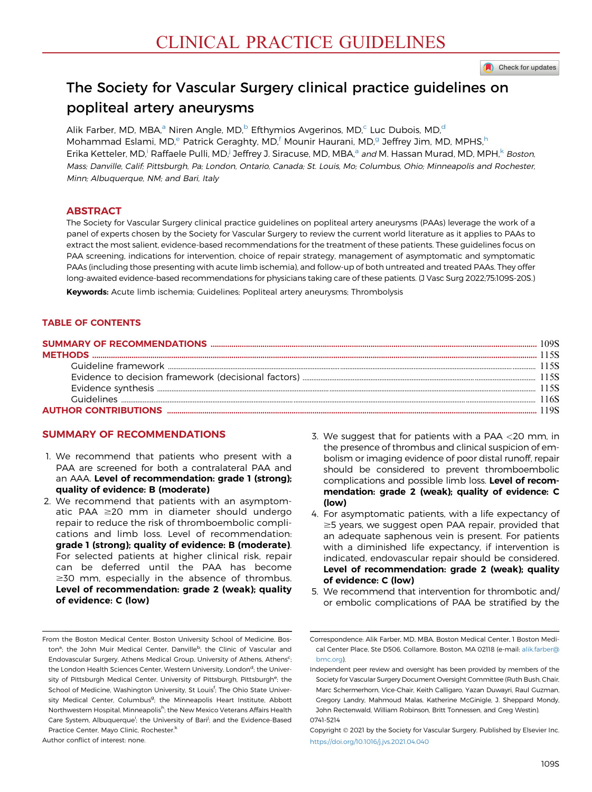# The Society for Vascular Surgery clinical practice guidelines on popliteal artery aneurysms

Alik Farber, MD, MBA,<sup>a</sup> Niren Angle, MD,<sup>b</sup> Efthymios Avgerinos, MD,<sup>c</sup> Luc Dubois, MD,<sup>d</sup> Mohammad Eslami, MD,<sup>e</sup> Patrick Geraghty, MD,<sup>f</sup> Mounir Haurani, MD,<sup>g</sup> Jeffrey Jim, MD, MPHS,<sup>h</sup> Erika Ketteler, MD,<sup>i</sup> Raffaele Pulli, MD,<sup>j</sup> Jeffrey J. Siracuse, MD, MBA,<sup>a</sup> and M. Hassan Murad, MD, MPH,<sup>k</sup> Boston, Mass; Danville, Calif; Pittsburgh, Pa; London, Ontario, Canada; St. Louis, Mo; Columbus, Ohio; Minneapolis and Rochester, Minn; Albuquerque, NM; and Bari, Italy

#### **ABSTRACT**

The Society for Vascular Surgery clinical practice guidelines on popliteal artery aneurysms (PAAs) leverage the work of a panel of experts chosen by the Society for Vascular Surgery to review the current world literature as it applies to PAAs to extract the most salient, evidence-based recommendations for the treatment of these patients. These guidelines focus on PAA screening, indications for intervention, choice of repair strategy, management of asymptomatic and symptomatic PAAs (including those presenting with acute limb ischemia), and follow-up of both untreated and treated PAAs. They offer long-awaited evidence-based recommendations for physicians taking care of these patients. (J Vasc Surg 2022;75:109S-20S.)

Keywords: Acute limb ischemia; Guidelines; Popliteal artery aneurysms; Thrombolysis

#### TABLE OF CONTENTS

## SUMMARY OF RECOMMENDATIONS

- 1. We recommend that patients who present with a PAA are screened for both a contralateral PAA and an AAA. Level of recommendation: grade 1 (strong); quality of evidence: B (moderate)
- 2. We recommend that patients with an asymptomatic PAA  $\geq$ 20 mm in diameter should undergo repair to reduce the risk of thromboembolic complications and limb loss. Level of recommendation: grade 1 (strong); quality of evidence: B (moderate). For selected patients at higher clinical risk, repair can be deferred until the PAA has become  $\geq$ 30 mm, especially in the absence of thrombus. Level of recommendation: grade 2 (weak); quality of evidence: C (low)
- 3. We suggest that for patients with a PAA <20 mm, in the presence of thrombus and clinical suspicion of embolism or imaging evidence of poor distal runoff, repair should be considered to prevent thromboembolic complications and possible limb loss. Level of recommendation: grade 2 (weak); quality of evidence: C (low)
- 4. For asymptomatic patients, with a life expectancy of  $\geq$ 5 years, we suggest open PAA repair, provided that an adequate saphenous vein is present. For patients with a diminished life expectancy, if intervention is indicated, endovascular repair should be considered. Level of recommendation: grade 2 (weak); quality of evidence: C (low)
- 5. We recommend that intervention for thrombotic and/ or embolic complications of PAA be stratified by the

From the Boston Medical Center, Boston University School of Medicine, Boston<sup>a</sup>; the John Muir Medical Center, Danville<sup>b</sup>; the Clinic of Vascular and Endovascular Surgery, Athens Medical Group, University of Athens, Athens<sup>c</sup>; the London Health Sciences Center, Western University, London<sup>d</sup>; the University of Pittsburgh Medical Center, University of Pittsburgh, Pittsburgh<sup>e</sup>; the School of Medicine, Washington University, St Louis<sup>f</sup>; The Ohio State University Medical Center, Columbus<sup>g</sup>; the Minneapolis Heart Institute, Abbott Northwestern Hospital, Minneapolis<sup>h</sup>; the New Mexico Veterans Affairs Health Care System, Albuquerque<sup>i</sup>; the University of Bari<sup>j</sup>; and the Evidence-Based Practice Center, Mayo Clinic, Rochester.<sup>k</sup>

Author conflict of interest: none.

Correspondence: Alik Farber, MD, MBA, Boston Medical Center, 1 Boston Medical Center Place, Ste D506, Collamore, Boston, MA 02118 (e-mail: [alik.farber@](mailto:alik.farber@bmc.org) [bmc.org\)](mailto:alik.farber@bmc.org).

Independent peer review and oversight has been provided by members of the Society for Vascular Surgery Document Oversight Committee (Ruth Bush, Chair, Marc Schermerhorn, Vice-Chair, Keith Calligaro, Yazan Duwayri, Raul Guzman, Gregory Landry, Mahmoud Malas, Katherine McGinigle, J. Sheppard Mondy, John Rectenwald, William Robinson, Britt Tonnessen, and Greg Westin). 0741-5214

Copyright 2021 by the Society for Vascular Surgery. Published by Elsevier Inc. <https://doi.org/10.1016/j.jvs.2021.04.040>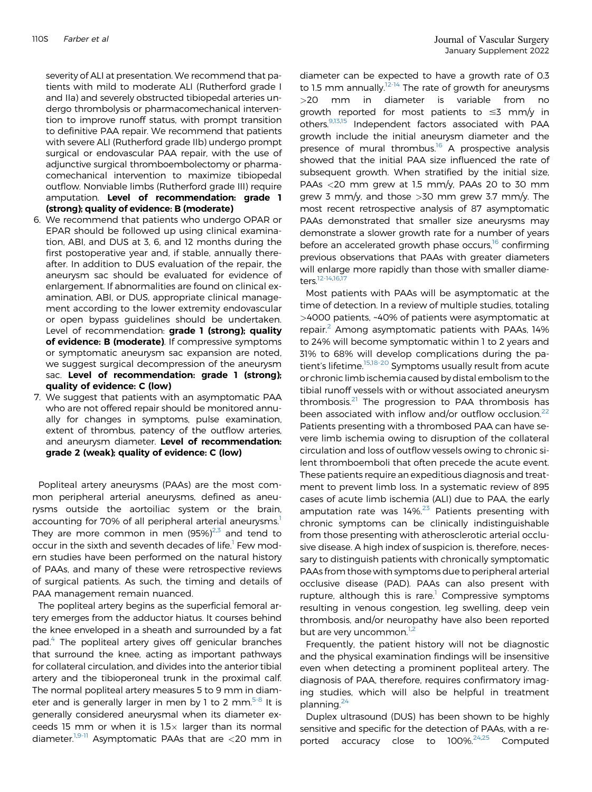severity of ALI at presentation. We recommend that patients with mild to moderate ALI (Rutherford grade I and IIa) and severely obstructed tibiopedal arteries undergo thrombolysis or pharmacomechanical intervention to improve runoff status, with prompt transition to definitive PAA repair. We recommend that patients with severe ALI (Rutherford grade IIb) undergo prompt surgical or endovascular PAA repair, with the use of adjunctive surgical thromboembolectomy or pharmacomechanical intervention to maximize tibiopedal outflow. Nonviable limbs (Rutherford grade III) require amputation. Level of recommendation: grade 1 (strong); quality of evidence: B (moderate)

- 6. We recommend that patients who undergo OPAR or EPAR should be followed up using clinical examination, ABI, and DUS at 3, 6, and 12 months during the first postoperative year and, if stable, annually thereafter. In addition to DUS evaluation of the repair, the aneurysm sac should be evaluated for evidence of enlargement. If abnormalities are found on clinical examination, ABI, or DUS, appropriate clinical management according to the lower extremity endovascular or open bypass guidelines should be undertaken. Level of recommendation: grade 1 (strong); quality of evidence: **B** (moderate). If compressive symptoms or symptomatic aneurysm sac expansion are noted, we suggest surgical decompression of the aneurysm sac. Level of recommendation: grade 1 (strong); quality of evidence: C (low)
- 7. We suggest that patients with an asymptomatic PAA who are not offered repair should be monitored annually for changes in symptoms, pulse examination, extent of thrombus, patency of the outflow arteries, and aneurysm diameter. Level of recommendation: grade 2 (weak); quality of evidence: C (low)

Popliteal artery aneurysms (PAAs) are the most common peripheral arterial aneurysms, defined as aneurysms outside the aortoiliac system or the brain, accounting for 70% of all peripheral arterial aneurysms.<sup>[1](#page-10-0)</sup> They are more common in men  $(95%)^{2,3}$  $(95%)^{2,3}$  $(95%)^{2,3}$  $(95%)^{2,3}$  and tend to occur in the sixth and seventh decades of life.<sup>[1](#page-10-0)</sup> Few modern studies have been performed on the natural history of PAAs, and many of these were retrospective reviews of surgical patients. As such, the timing and details of PAA management remain nuanced.

The popliteal artery begins as the superficial femoral artery emerges from the adductor hiatus. It courses behind the knee enveloped in a sheath and surrounded by a fat pad[.4](#page-10-3) The popliteal artery gives off genicular branches that surround the knee, acting as important pathways for collateral circulation, and divides into the anterior tibial artery and the tibioperoneal trunk in the proximal calf. The normal popliteal artery measures 5 to 9 mm in diameter and is generally larger in men by 1 to 2 mm. $5-8$  It is generally considered aneurysmal when its diameter exceeds 15 mm or when it is  $1.5\times$  larger than its normal diameter.[1](#page-10-0)[,9-11](#page-10-5) Asymptomatic PAAs that are <20 mm in

diameter can be expected to have a growth rate of 0.3 to 1.5 mm annually.<sup>[12-14](#page-10-6)</sup> The rate of growth for aneurysms >20 mm in diameter is variable from no growth reported for most patients to  $\leq$ 3 mm/y in others.<sup>[9,](#page-10-5)[13,](#page-10-7)[15](#page-10-8)</sup> Independent factors associated with PAA growth include the initial aneurysm diameter and the presence of mural thrombus.<sup>[16](#page-10-9)</sup> A prospective analysis showed that the initial PAA size influenced the rate of subsequent growth. When stratified by the initial size, PAAs <20 mm grew at 1.5 mm/y, PAAs 20 to 30 mm grew 3 mm/y, and those >30 mm grew 3.7 mm/y. The most recent retrospective analysis of 87 asymptomatic PAAs demonstrated that smaller size aneurysms may demonstrate a slower growth rate for a number of years before an accelerated growth phase occurs,<sup>16</sup> confirming previous observations that PAAs with greater diameters will enlarge more rapidly than those with smaller diameters.[12-14](#page-10-6)[,16,](#page-10-9)[17](#page-10-10)

Most patients with PAAs will be asymptomatic at the time of detection. In a review of multiple studies, totaling >4000 patients, ~40% of patients were asymptomatic at repair.<sup>[2](#page-10-1)</sup> Among asymptomatic patients with PAAs, 14% to 24% will become symptomatic within 1 to 2 years and 31% to 68% will develop complications during the pa-tient's lifetime.<sup>[15,](#page-10-8)[18-20](#page-10-11)</sup> Symptoms usually result from acute or chronic limb ischemia caused by distal embolism to the tibial runoff vessels with or without associated aneurysm thrombosis. $21$  The progression to PAA thrombosis has been associated with inflow and/or outflow occlusion. $22$ Patients presenting with a thrombosed PAA can have severe limb ischemia owing to disruption of the collateral circulation and loss of outflow vessels owing to chronic silent thromboemboli that often precede the acute event. These patients require an expeditious diagnosis and treatment to prevent limb loss. In a systematic review of 895 cases of acute limb ischemia (ALI) due to PAA, the early amputation rate was  $14\%$ <sup>[23](#page-10-14)</sup> Patients presenting with chronic symptoms can be clinically indistinguishable from those presenting with atherosclerotic arterial occlusive disease. A high index of suspicion is, therefore, necessary to distinguish patients with chronically symptomatic PAAs from those with symptoms due to peripheral arterial occlusive disease (PAD). PAAs can also present with rupture, although this is rare.<sup>[1](#page-10-0)</sup> Compressive symptoms resulting in venous congestion, leg swelling, deep vein thrombosis, and/or neuropathy have also been reported but are very uncommon.<sup>[1,](#page-10-0)[2](#page-10-1)</sup>

Frequently, the patient history will not be diagnostic and the physical examination findings will be insensitive even when detecting a prominent popliteal artery. The diagnosis of PAA, therefore, requires confirmatory imaging studies, which will also be helpful in treatment planning.[24](#page-10-15)

Duplex ultrasound (DUS) has been shown to be highly sensitive and specific for the detection of PAAs, with a re-ported accuracy close to 100%.<sup>[24](#page-10-15)[,25](#page-10-16)</sup> Computed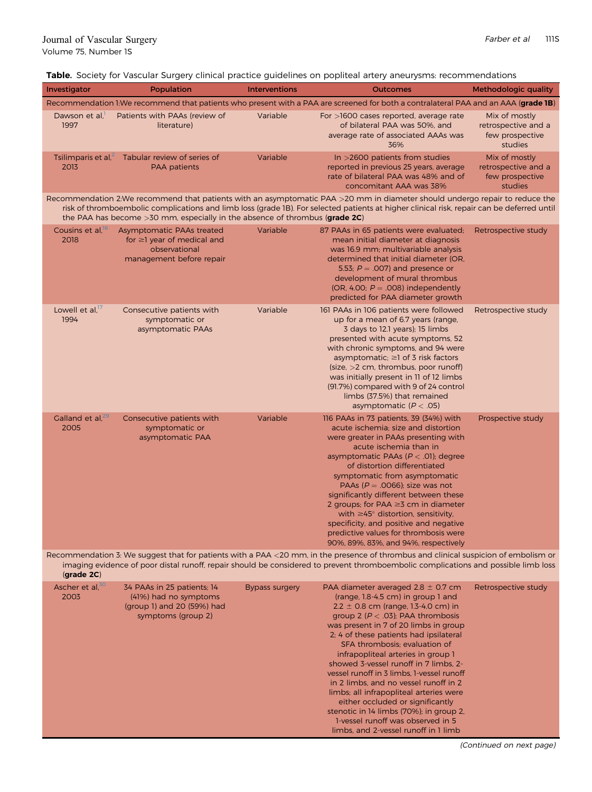#### <span id="page-2-0"></span>Table. Society for Vascular Surgery clinical practice guidelines on popliteal artery aneurysms: recommendations

| Investigator                                                                                                                                                                                                                                                                                 | Population                                                                                               | <b>Interventions</b>  | <b>Outcomes</b>                                                                                                                                                                                                                                                                                                                                                                                                                                                                                                                                                                                                                                                  | Methodologic quality                                               |
|----------------------------------------------------------------------------------------------------------------------------------------------------------------------------------------------------------------------------------------------------------------------------------------------|----------------------------------------------------------------------------------------------------------|-----------------------|------------------------------------------------------------------------------------------------------------------------------------------------------------------------------------------------------------------------------------------------------------------------------------------------------------------------------------------------------------------------------------------------------------------------------------------------------------------------------------------------------------------------------------------------------------------------------------------------------------------------------------------------------------------|--------------------------------------------------------------------|
|                                                                                                                                                                                                                                                                                              |                                                                                                          |                       | Recommendation 1: We recommend that patients who present with a PAA are screened for both a contralateral PAA and an AAA (grade 1B)                                                                                                                                                                                                                                                                                                                                                                                                                                                                                                                              |                                                                    |
| Dawson et al,<br>1997                                                                                                                                                                                                                                                                        | Patients with PAAs (review of<br>literature)                                                             | Variable              | For >1600 cases reported, average rate<br>of bilateral PAA was 50%, and<br>average rate of associated AAAs was<br>36%                                                                                                                                                                                                                                                                                                                                                                                                                                                                                                                                            | Mix of mostly<br>retrospective and a<br>few prospective<br>studies |
| Tsilimparis et al. <sup>2</sup><br>2013                                                                                                                                                                                                                                                      | Tabular review of series of<br><b>PAA</b> patients                                                       | Variable              | In $>$ 2600 patients from studies<br>reported in previous 25 years, average<br>rate of bilateral PAA was 48% and of<br>concomitant AAA was 38%                                                                                                                                                                                                                                                                                                                                                                                                                                                                                                                   | Mix of mostly<br>retrospective and a<br>few prospective<br>studies |
|                                                                                                                                                                                                                                                                                              | the PAA has become $>30$ mm, especially in the absence of thrombus (grade $2C$ )                         |                       | Recommendation 2:We recommend that patients with an asymptomatic PAA >20 mm in diameter should undergo repair to reduce the<br>risk of thromboembolic complications and limb loss (grade 1B). For selected patients at higher clinical risk, repair can be deferred until                                                                                                                                                                                                                                                                                                                                                                                        |                                                                    |
| Cousins et al, <sup>16</sup><br>2018                                                                                                                                                                                                                                                         | Asymptomatic PAAs treated<br>for $\geq$ year of medical and<br>observational<br>management before repair | Variable              | 87 PAAs in 65 patients were evaluated;<br>mean initial diameter at diagnosis<br>was 16.9 mm; multivariable analysis<br>determined that initial diameter (OR,<br>5.53; $P = .007$ ) and presence or<br>development of mural thrombus<br>(OR, 4.00; $P = .008$ ) independently<br>predicted for PAA diameter growth                                                                                                                                                                                                                                                                                                                                                | Retrospective study                                                |
| Lowell et al, <sup>17</sup><br>1994                                                                                                                                                                                                                                                          | Consecutive patients with<br>symptomatic or<br>asymptomatic PAAs                                         | Variable              | 161 PAAs in 106 patients were followed<br>up for a mean of 6.7 years (range,<br>3 days to 12.1 years); 15 limbs<br>presented with acute symptoms, 52<br>with chronic symptoms, and 94 were<br>asymptomatic; $\geq$ 1 of 3 risk factors<br>(size, $>2$ cm, thrombus, poor runoff)<br>was initially present in 11 of 12 limbs<br>(91.7%) compared with 9 of 24 control<br>limbs (37.5%) that remained<br>asymptomatic ( $P < .05$ )                                                                                                                                                                                                                                | Retrospective study                                                |
| Galland et al, <sup>29</sup><br>2005                                                                                                                                                                                                                                                         | Consecutive patients with<br>symptomatic or<br>asymptomatic PAA                                          | Variable              | 116 PAAs in 73 patients, 39 (34%) with<br>acute ischemia; size and distortion<br>were greater in PAAs presenting with<br>acute ischemia than in<br>asymptomatic PAAs ( $P < .01$ ); degree<br>of distortion differentiated<br>symptomatic from asymptomatic<br>PAAs ( $P = .0066$ ); size was not<br>significantly different between these<br>2 groups; for PAA $\geq$ 3 cm in diameter<br>with $\geq$ 45° distortion, sensitivity,<br>specificity, and positive and negative<br>predictive values for thrombosis were<br>90%, 89%, 83%, and 94%, respectively                                                                                                   | Prospective study                                                  |
| Recommendation 3: We suggest that for patients with a PAA $<$ 20 mm, in the presence of thrombus and clinical suspicion of embolism or<br>imaging evidence of poor distal runoff, repair should be considered to prevent thromboembolic complications and possible limb loss<br>$(grade 2C)$ |                                                                                                          |                       |                                                                                                                                                                                                                                                                                                                                                                                                                                                                                                                                                                                                                                                                  |                                                                    |
| Ascher et al, <sup>30</sup><br>2003                                                                                                                                                                                                                                                          | 34 PAAs in 25 patients; 14<br>(41%) had no symptoms<br>(group 1) and 20 (59%) had<br>symptoms (group 2)  | <b>Bypass surgery</b> | PAA diameter averaged 2.8 $\pm$ 0.7 cm<br>(range, 1.8-4.5 cm) in group 1 and<br>$2.2 \pm 0.8$ cm (range, 1.3-4.0 cm) in<br>group 2 ( $P < .03$ ); PAA thrombosis<br>was present in 7 of 20 limbs in group<br>2; 4 of these patients had ipsilateral<br>SFA thrombosis; evaluation of<br>infrapopliteal arteries in group 1<br>showed 3-vessel runoff in 7 limbs, 2-<br>vessel runoff in 3 limbs, 1-vessel runoff<br>in 2 limbs, and no vessel runoff in 2<br>limbs; all infrapopliteal arteries were<br>either occluded or significantly<br>stenotic in 14 limbs (70%); in group 2,<br>1-vessel runoff was observed in 5<br>limbs, and 2-vessel runoff in 1 limb | Retrospective study                                                |

(Continued on next page)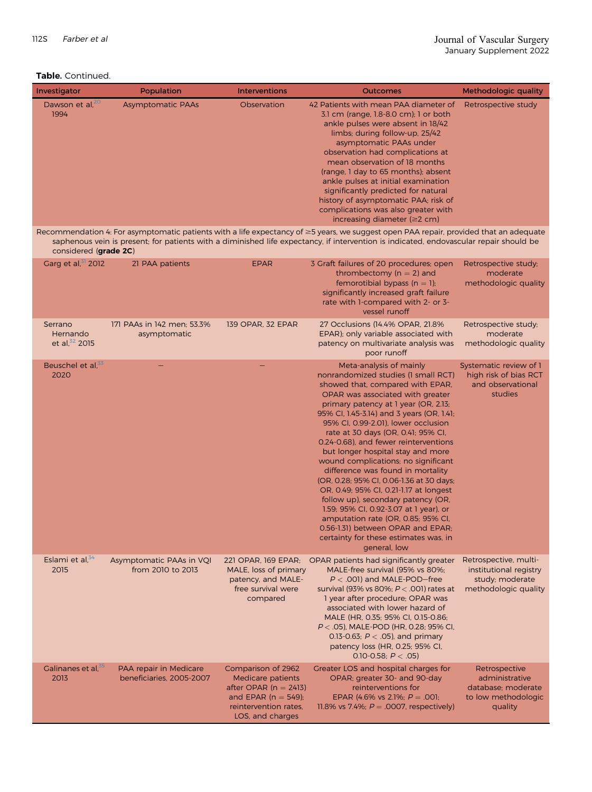#### Table. Continued.

| <b>Investigator</b>                    | Population                                         | <b>Interventions</b>                                                                                                                       | <b>Outcomes</b>                                                                                                                                                                                                                                                                                                                                                                                                                                                                                                                                                                                                                                                                                                                                                              | Methodologic quality                                                                       |
|----------------------------------------|----------------------------------------------------|--------------------------------------------------------------------------------------------------------------------------------------------|------------------------------------------------------------------------------------------------------------------------------------------------------------------------------------------------------------------------------------------------------------------------------------------------------------------------------------------------------------------------------------------------------------------------------------------------------------------------------------------------------------------------------------------------------------------------------------------------------------------------------------------------------------------------------------------------------------------------------------------------------------------------------|--------------------------------------------------------------------------------------------|
| Dawson et al, <sup>20</sup><br>1994    | <b>Asymptomatic PAAs</b>                           | Observation                                                                                                                                | 42 Patients with mean PAA diameter of<br>3.1 cm (range, 1.8-8.0 cm); 1 or both<br>ankle pulses were absent in 18/42<br>limbs; during follow-up, 25/42<br>asymptomatic PAAs under<br>observation had complications at<br>mean observation of 18 months<br>(range, 1 day to 65 months); absent<br>ankle pulses at initial examination<br>significantly predicted for natural<br>history of asymptomatic PAA; risk of<br>complications was also greater with<br>increasing diameter ( $\geq$ 2 cm)                                                                                                                                                                                                                                                                              | Retrospective study                                                                        |
| considered (grade 2C)                  |                                                    |                                                                                                                                            | Recommendation 4: For asymptomatic patients with a life expectancy of ≥5 years, we suggest open PAA repair, provided that an adequate<br>saphenous vein is present; for patients with a diminished life expectancy, if intervention is indicated, endovascular repair should be                                                                                                                                                                                                                                                                                                                                                                                                                                                                                              |                                                                                            |
| Garg et al, <sup>31</sup> 2012         | 21 PAA patients                                    | <b>EPAR</b>                                                                                                                                | 3 Graft failures of 20 procedures; open<br>thrombectomy ( $n = 2$ ) and<br>femorotibial bypass ( $n = 1$ );<br>significantly increased graft failure<br>rate with 1-compared with 2- or 3-<br>vessel runoff                                                                                                                                                                                                                                                                                                                                                                                                                                                                                                                                                                  | Retrospective study;<br>moderate<br>methodologic quality                                   |
| Serrano<br>Hernando<br>et al, 32 2015  | 171 PAAs in 142 men; 53.3%<br>asymptomatic         | 139 OPAR, 32 EPAR                                                                                                                          | 27 Occlusions (14.4% OPAR, 21.8%)<br>EPAR); only variable associated with<br>patency on multivariate analysis was<br>poor runoff                                                                                                                                                                                                                                                                                                                                                                                                                                                                                                                                                                                                                                             | Retrospective study;<br>moderate<br>methodologic quality                                   |
| Beuschel et al, <sup>33</sup><br>2020  |                                                    |                                                                                                                                            | Meta-analysis of mainly<br>nonrandomized studies (1 small RCT)<br>showed that, compared with EPAR,<br>OPAR was associated with greater<br>primary patency at 1 year (OR, 2.13;<br>95% CI, 1.45-3.14) and 3 years (OR, 1.41;<br>95% CI, 0.99-2.01), lower occlusion<br>rate at 30 days (OR, 0.41; 95% CI,<br>0.24-0.68), and fewer reinterventions<br>but longer hospital stay and more<br>wound complications; no significant<br>difference was found in mortality<br>(OR, 0.28; 95% CI, 0.06-1.36 at 30 days;<br>OR, 0.49; 95% CI, 0.21-1.17 at longest<br>follow up), secondary patency (OR,<br>1.59; 95% CI, 0.92-3.07 at 1 year), or<br>amputation rate (OR, 0.85; 95% CI,<br>0.56-1.31) between OPAR and EPAR;<br>certainty for these estimates was, in<br>general, low | Systematic review of 1<br>high risk of bias RCT<br>and observational<br>studies            |
| Eslami et al, <sup>34</sup><br>2015    | Asymptomatic PAAs in VQI<br>from 2010 to 2013      | 221 OPAR, 169 EPAR;<br>MALE, loss of primary<br>patency, and MALE-<br>free survival were<br>compared                                       | OPAR patients had significantly greater<br>MALE-free survival (95% vs 80%;<br>$P < .001$ ) and MALE-POD-free<br>survival (93% vs 80%; P < . 001) rates at<br>1 year after procedure; OPAR was<br>associated with lower hazard of<br>MALE (HR, 0.35; 95% CI, 0.15-0.86;<br>$P <$ .05), MALE-POD (HR, 0.28; 95% CI,<br>0.13-0.63; $P <$ .05), and primary<br>patency loss (HR, 0.25; 95% CI,<br>$0.10 - 0.58$ ; $P < .05$ )                                                                                                                                                                                                                                                                                                                                                    | Retrospective, multi-<br>institutional registry<br>study; moderate<br>methodologic quality |
| Galinanes et al. <sup>35</sup><br>2013 | PAA repair in Medicare<br>beneficiaries, 2005-2007 | Comparison of 2962<br>Medicare patients<br>after OPAR $(n = 2413)$<br>and EPAR ( $n = 549$ );<br>reintervention rates,<br>LOS, and charges | Greater LOS and hospital charges for<br>OPAR; greater 30- and 90-day<br>reinterventions for<br>EPAR (4.6% vs 2.1%; $P = .001$ ;<br>11.8% vs 7.4%; $P = .0007$ , respectively)                                                                                                                                                                                                                                                                                                                                                                                                                                                                                                                                                                                                | Retrospective<br>administrative<br>database; moderate<br>to low methodologic<br>quality    |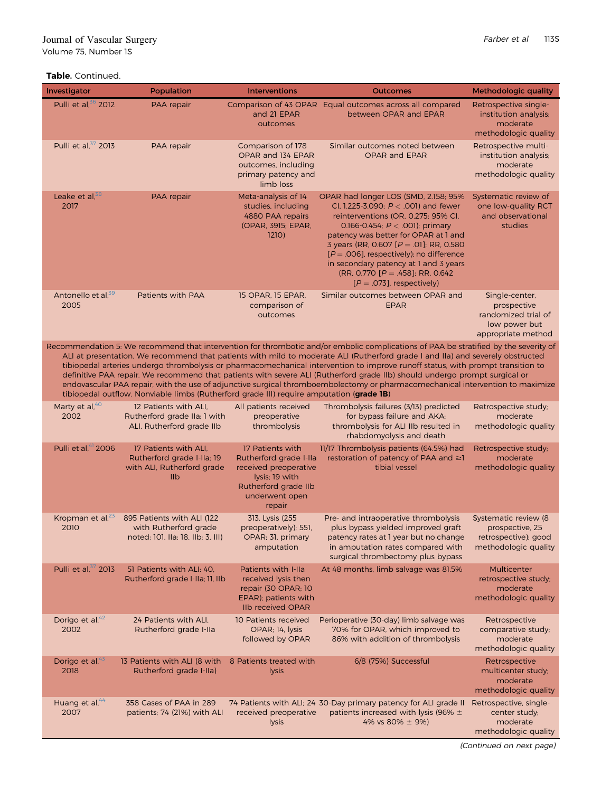#### Table. Continued.

| Investigator                                                                                                                                                                                                                                                                                                                                                                                                                                                                                                                                                                                                                                                                                                                                                          | Population                                                                                      | <b>Interventions</b>                                                                                                                      | <b>Outcomes</b>                                                                                                                                                                                                                                                                                                                                                                                                 | Methodologic quality                                                                        |
|-----------------------------------------------------------------------------------------------------------------------------------------------------------------------------------------------------------------------------------------------------------------------------------------------------------------------------------------------------------------------------------------------------------------------------------------------------------------------------------------------------------------------------------------------------------------------------------------------------------------------------------------------------------------------------------------------------------------------------------------------------------------------|-------------------------------------------------------------------------------------------------|-------------------------------------------------------------------------------------------------------------------------------------------|-----------------------------------------------------------------------------------------------------------------------------------------------------------------------------------------------------------------------------------------------------------------------------------------------------------------------------------------------------------------------------------------------------------------|---------------------------------------------------------------------------------------------|
| Pulli et al, 36 2012                                                                                                                                                                                                                                                                                                                                                                                                                                                                                                                                                                                                                                                                                                                                                  | PAA repair                                                                                      | and 21 EPAR<br>outcomes                                                                                                                   | Comparison of 43 OPAR Equal outcomes across all compared<br>between OPAR and EPAR                                                                                                                                                                                                                                                                                                                               | Retrospective single-<br>institution analysis;<br>moderate<br>methodologic quality          |
| Pulli et al, <sup>37</sup> 2013                                                                                                                                                                                                                                                                                                                                                                                                                                                                                                                                                                                                                                                                                                                                       | PAA repair                                                                                      | Comparison of 178<br>OPAR and 134 EPAR<br>outcomes, including<br>primary patency and<br>limb loss                                         | Similar outcomes noted between<br>OPAR and EPAR                                                                                                                                                                                                                                                                                                                                                                 | Retrospective multi-<br>institution analysis;<br>moderate<br>methodologic quality           |
| Leake et al, <sup>38</sup><br>2017                                                                                                                                                                                                                                                                                                                                                                                                                                                                                                                                                                                                                                                                                                                                    | PAA repair                                                                                      | Meta-analysis of 14<br>studies, including<br>4880 PAA repairs<br>(OPAR, 3915; EPAR,<br>1210)                                              | OPAR had longer LOS (SMD, 2.158; 95%<br>CI, 1.225-3.090; $P < .001$ ) and fewer<br>reinterventions (OR, 0.275; 95% CI,<br>0.166-0.454; $P <$ .001); primary<br>patency was better for OPAR at 1 and<br>3 years (RR, 0.607 $[P=.01]$ ; RR, 0.580<br>$[P = .006]$ , respectively); no difference<br>in secondary patency at 1 and 3 years<br>(RR, 0.770 [ $P = .458$ ]; RR, 0.642<br>$[P = .073]$ , respectively) | Systematic review of<br>one low-quality RCT<br>and observational<br>studies                 |
| Antonello et al, 39<br>2005                                                                                                                                                                                                                                                                                                                                                                                                                                                                                                                                                                                                                                                                                                                                           | Patients with PAA                                                                               | 15 OPAR, 15 EPAR,<br>comparison of<br>outcomes                                                                                            | Similar outcomes between OPAR and<br><b>EPAR</b>                                                                                                                                                                                                                                                                                                                                                                | Single-center,<br>prospective<br>randomized trial of<br>low power but<br>appropriate method |
| Recommendation 5: We recommend that intervention for thrombotic and/or embolic complications of PAA be stratified by the severity of<br>ALI at presentation. We recommend that patients with mild to moderate ALI (Rutherford grade I and IIa) and severely obstructed<br>tibiopedal arteries undergo thrombolysis or pharmacomechanical intervention to improve runoff status, with prompt transition to<br>definitive PAA repair. We recommend that patients with severe ALI (Rutherford grade IIb) should undergo prompt surgical or<br>endovascular PAA repair, with the use of adjunctive surgical thromboembolectomy or pharmacomechanical intervention to maximize<br>tibiopedal outflow. Nonviable limbs (Rutherford grade III) require amputation (grade 1B) |                                                                                                 |                                                                                                                                           |                                                                                                                                                                                                                                                                                                                                                                                                                 |                                                                                             |
| Marty et al, <sup>40</sup><br>2002                                                                                                                                                                                                                                                                                                                                                                                                                                                                                                                                                                                                                                                                                                                                    | 12 Patients with ALI.<br>Rutherford grade IIa; 1 with<br>ALI, Rutherford grade IIb              | All patients received<br>preoperative<br>thrombolysis                                                                                     | Thrombolysis failures (3/13) predicted<br>for bypass failure and AKA;<br>thrombolysis for ALI IIb resulted in<br>rhabdomyolysis and death                                                                                                                                                                                                                                                                       | Retrospective study;<br>moderate<br>methodologic quality                                    |
| Pulli et al, 41 2006                                                                                                                                                                                                                                                                                                                                                                                                                                                                                                                                                                                                                                                                                                                                                  | 17 Patients with ALI.<br>Rutherford grade I-IIa; 19<br>with ALI, Rutherford grade<br><b>IIb</b> | 17 Patients with<br>Rutherford grade I-IIa<br>received preoperative<br>lysis; 19 with<br>Rutherford grade IIb<br>underwent open<br>repair | 11/17 Thrombolysis patients (64.5%) had<br>restoration of patency of PAA and $\geq$ 1<br>tibial vessel                                                                                                                                                                                                                                                                                                          | Retrospective study;<br>moderate<br>methodologic quality                                    |
| Kropman et al, <sup>23</sup><br>2010                                                                                                                                                                                                                                                                                                                                                                                                                                                                                                                                                                                                                                                                                                                                  | 895 Patients with ALI (122<br>with Rutherford grade<br>noted: 101, IIa; 18, IIb; 3, III)        | 313, Lysis (255)<br>preoperatively); 551.<br>OPAR; 31, primary<br>amputation                                                              | Pre- and intraoperative thrombolysis<br>plus bypass yielded improved graft<br>patency rates at 1 year but no change<br>in amputation rates compared with<br>surgical thrombectomy plus bypass                                                                                                                                                                                                                   | Systematic review (8<br>prospective, 25<br>retrospective); good<br>methodologic quality     |
| Pulli et al, <sup>37</sup> 2013                                                                                                                                                                                                                                                                                                                                                                                                                                                                                                                                                                                                                                                                                                                                       | 51 Patients with ALI: 40,<br>Rutherford grade I-IIa; 11, IIb                                    | Patients with I-IIa<br>received lysis then<br>repair (30 OPAR; 10<br>EPAR); patients with<br><b>IIb received OPAR</b>                     | At 48 months, limb salvage was 81.5%                                                                                                                                                                                                                                                                                                                                                                            | Multicenter<br>retrospective study;<br>moderate<br>methodologic quality                     |
| Dorigo et al, 42<br>2002                                                                                                                                                                                                                                                                                                                                                                                                                                                                                                                                                                                                                                                                                                                                              | 24 Patients with ALI,<br>Rutherford grade I-IIa                                                 | 10 Patients received<br>OPAR; 14, lysis<br>followed by OPAR                                                                               | Perioperative (30-day) limb salvage was<br>70% for OPAR, which improved to<br>86% with addition of thrombolysis                                                                                                                                                                                                                                                                                                 | Retrospective<br>comparative study;<br>moderate<br>methodologic quality                     |
| Dorigo et al, 43<br>2018                                                                                                                                                                                                                                                                                                                                                                                                                                                                                                                                                                                                                                                                                                                                              | 13 Patients with ALI (8 with<br>Rutherford grade I-IIa)                                         | 8 Patients treated with<br><b>lysis</b>                                                                                                   | 6/8 (75%) Successful                                                                                                                                                                                                                                                                                                                                                                                            | Retrospective<br>multicenter study;<br>moderate<br>methodologic quality                     |
| Huang et al, <sup>44</sup><br>2007                                                                                                                                                                                                                                                                                                                                                                                                                                                                                                                                                                                                                                                                                                                                    | 358 Cases of PAA in 289<br>patients; 74 (21%) with ALI                                          | received preoperative<br><b>lysis</b>                                                                                                     | 74 Patients with ALI; 24 30-Day primary patency for ALI grade II<br>patients increased with lysis (96% $\pm$<br>4% vs 80% $\pm$ 9%)                                                                                                                                                                                                                                                                             | Retrospective, single-<br>center study;<br>moderate<br>methodologic quality                 |

(Continued on next page)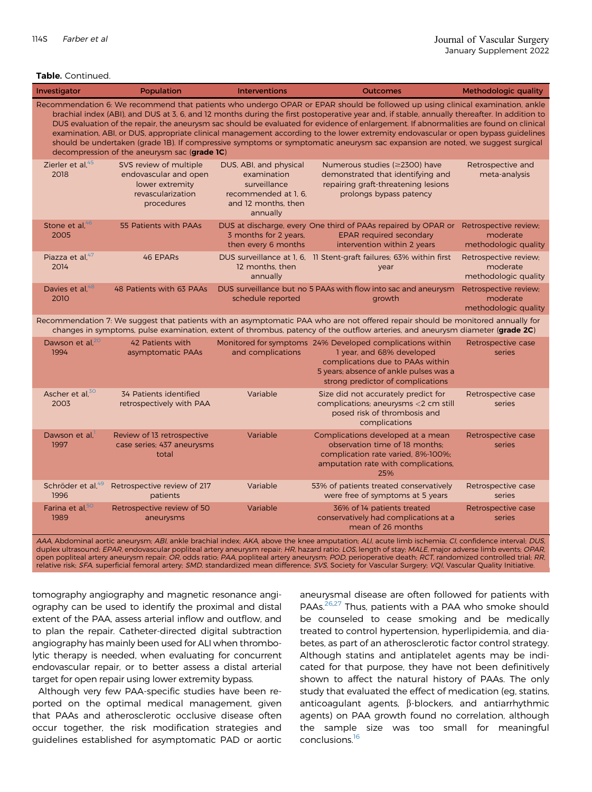#### Table. Continued.

| Investigator                                                                                                                                                                                                                                                                                                                                                                                                                                                                                                                                                                                                                                                                                                                                  | Population                                                                                            | <b>Interventions</b>                                                                                             | <b>Outcomes</b>                                                                                                                                                                                                                                                  | Methodologic quality                                      |
|-----------------------------------------------------------------------------------------------------------------------------------------------------------------------------------------------------------------------------------------------------------------------------------------------------------------------------------------------------------------------------------------------------------------------------------------------------------------------------------------------------------------------------------------------------------------------------------------------------------------------------------------------------------------------------------------------------------------------------------------------|-------------------------------------------------------------------------------------------------------|------------------------------------------------------------------------------------------------------------------|------------------------------------------------------------------------------------------------------------------------------------------------------------------------------------------------------------------------------------------------------------------|-----------------------------------------------------------|
| Recommendation 6: We recommend that patients who undergo OPAR or EPAR should be followed up using clinical examination, ankle<br>brachial index (ABI), and DUS at 3, 6, and 12 months during the first postoperative year and, if stable, annually thereafter. In addition to<br>DUS evaluation of the repair, the aneurysm sac should be evaluated for evidence of enlargement. If abnormalities are found on clinical<br>examination, ABI, or DUS, appropriate clinical management according to the lower extremity endovascular or open bypass guidelines<br>should be undertaken (grade 1B). If compressive symptoms or symptomatic aneurysm sac expansion are noted, we suggest surgical<br>decompression of the aneurysm sac (grade IC) |                                                                                                       |                                                                                                                  |                                                                                                                                                                                                                                                                  |                                                           |
| Zierler et al. <sup>45</sup><br>2018                                                                                                                                                                                                                                                                                                                                                                                                                                                                                                                                                                                                                                                                                                          | SVS review of multiple<br>endovascular and open<br>lower extremity<br>revascularization<br>procedures | DUS, ABI, and physical<br>examination<br>surveillance<br>recommended at 1, 6,<br>and 12 months, then<br>annually | Numerous studies (≥2300) have<br>demonstrated that identifying and<br>repairing graft-threatening lesions<br>prolongs bypass patency                                                                                                                             | Retrospective and<br>meta-analysis                        |
| Stone et al, <sup>46</sup><br>2005                                                                                                                                                                                                                                                                                                                                                                                                                                                                                                                                                                                                                                                                                                            | 55 Patients with PAAs                                                                                 | 3 months for 2 years,<br>then every 6 months                                                                     | DUS at discharge, every One third of PAAs repaired by OPAR or<br><b>EPAR required secondary</b><br>intervention within 2 years                                                                                                                                   | Retrospective review;<br>moderate<br>methodologic quality |
| Piazza et al, <sup>47</sup><br>2014                                                                                                                                                                                                                                                                                                                                                                                                                                                                                                                                                                                                                                                                                                           | <b>46 EPARs</b>                                                                                       | 12 months, then<br>annually                                                                                      | DUS surveillance at 1, 6, 11 Stent-graft failures; 63% within first<br>year                                                                                                                                                                                      | Retrospective review;<br>moderate<br>methodologic quality |
| Davies et al, <sup>48</sup><br>2010                                                                                                                                                                                                                                                                                                                                                                                                                                                                                                                                                                                                                                                                                                           | 48 Patients with 63 PAAs                                                                              | schedule reported                                                                                                | DUS surveillance but no 5 PAAs with flow into sac and aneurysm<br>growth                                                                                                                                                                                         | Retrospective review:<br>moderate<br>methodologic quality |
|                                                                                                                                                                                                                                                                                                                                                                                                                                                                                                                                                                                                                                                                                                                                               |                                                                                                       |                                                                                                                  | Recommendation 7: We suggest that patients with an asymptomatic PAA who are not offered repair should be monitored annually for<br>changes in symptoms, pulse examination, extent of thrombus, patency of the outflow arteries, and aneurysm diameter (grade 2C) |                                                           |
| Dawson et al, <sup>20</sup><br>1994                                                                                                                                                                                                                                                                                                                                                                                                                                                                                                                                                                                                                                                                                                           | 42 Patients with<br>asymptomatic PAAs                                                                 | and complications                                                                                                | Monitored for symptoms 24% Developed complications within<br>1 year, and 68% developed<br>complications due to PAAs within<br>5 years; absence of ankle pulses was a<br>strong predictor of complications                                                        | Retrospective case<br>series                              |
| Ascher et al, <sup>30</sup><br>2003                                                                                                                                                                                                                                                                                                                                                                                                                                                                                                                                                                                                                                                                                                           | 34 Patients identified<br>retrospectively with PAA                                                    | Variable                                                                                                         | Size did not accurately predict for<br>complications; aneurysms <2 cm still<br>posed risk of thrombosis and<br>complications                                                                                                                                     | Retrospective case<br>series                              |
| Dawson et al, <sup>1</sup><br>1997                                                                                                                                                                                                                                                                                                                                                                                                                                                                                                                                                                                                                                                                                                            | Review of 13 retrospective<br>case series; 437 aneurysms<br>total                                     | Variable                                                                                                         | Complications developed at a mean<br>observation time of 18 months:<br>complication rate varied, 8%-100%;<br>amputation rate with complications,<br>25%                                                                                                          | Retrospective case<br>series                              |
| Schröder et al, <sup>49</sup><br>1996                                                                                                                                                                                                                                                                                                                                                                                                                                                                                                                                                                                                                                                                                                         | Retrospective review of 217<br>patients                                                               | Variable                                                                                                         | 53% of patients treated conservatively<br>were free of symptoms at 5 years                                                                                                                                                                                       | Retrospective case<br>series                              |
| Farina et al, <sup>50</sup><br>1989                                                                                                                                                                                                                                                                                                                                                                                                                                                                                                                                                                                                                                                                                                           | Retrospective review of 50<br>aneurysms                                                               | Variable                                                                                                         | 36% of 14 patients treated<br>conservatively had complications at a<br>mean of 26 months                                                                                                                                                                         | Retrospective case<br>series                              |

AAA, Abdominal aortic aneurysm; ABI, ankle brachial index; AKA, above the knee amputation; ALI, acute limb ischemia; CI, confidence interval; DUS, duplex ultrasound; EPAR, endovascular popliteal artery aneurysm repair; HR, hazard ratio; LOS, length of stay; MALE, major adverse limb events; OPAR, open popliteal artery aneurysm repair; OR, odds ratio; PAA, popliteal artery aneurysm; POD, perioperative death; RCT, randomized controlled trial; RR, relative risk; SFA, superficial femoral artery; SMD, standardized mean difference; SVS, Society for Vascular Surgery; VQI, Vascular Quality Initiative.

tomography angiography and magnetic resonance angiography can be used to identify the proximal and distal extent of the PAA, assess arterial inflow and outflow, and to plan the repair. Catheter-directed digital subtraction angiography has mainly been used for ALI when thrombolytic therapy is needed, when evaluating for concurrent endovascular repair, or to better assess a distal arterial target for open repair using lower extremity bypass.

Although very few PAA-specific studies have been reported on the optimal medical management, given that PAAs and atherosclerotic occlusive disease often occur together, the risk modification strategies and guidelines established for asymptomatic PAD or aortic

aneurysmal disease are often followed for patients with PAAs.<sup>[26,](#page-10-21)[27](#page-10-22)</sup> Thus, patients with a PAA who smoke should be counseled to cease smoking and be medically treated to control hypertension, hyperlipidemia, and diabetes, as part of an atherosclerotic factor control strategy. Although statins and antiplatelet agents may be indicated for that purpose, they have not been definitively shown to affect the natural history of PAAs. The only study that evaluated the effect of medication (eg, statins, anticoagulant agents,  $\beta$ -blockers, and antiarrhythmic agents) on PAA growth found no correlation, although the sample size was too small for meaningful conclusions.<sup>[16](#page-10-9)</sup>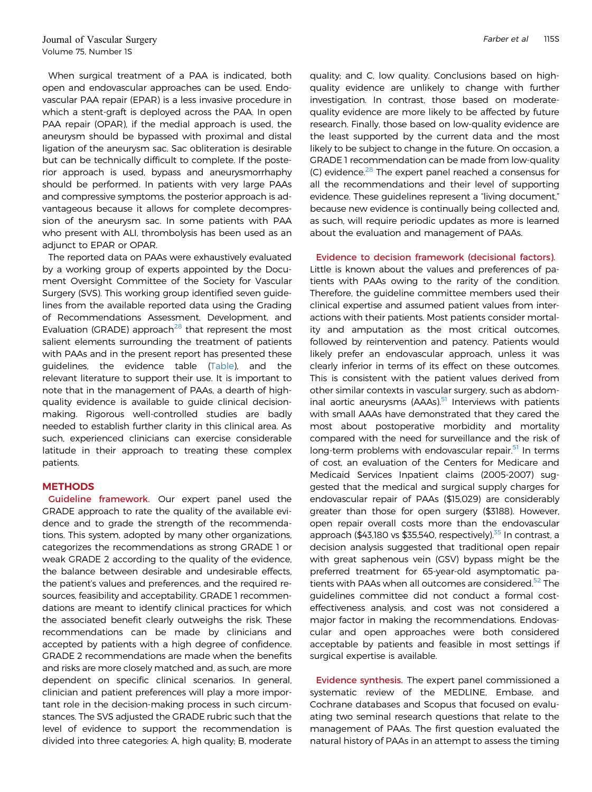When surgical treatment of a PAA is indicated, both open and endovascular approaches can be used. Endovascular PAA repair (EPAR) is a less invasive procedure in which a stent-graft is deployed across the PAA. In open PAA repair (OPAR), if the medial approach is used, the aneurysm should be bypassed with proximal and distal ligation of the aneurysm sac. Sac obliteration is desirable but can be technically difficult to complete. If the posterior approach is used, bypass and aneurysmorrhaphy should be performed. In patients with very large PAAs and compressive symptoms, the posterior approach is advantageous because it allows for complete decompression of the aneurysm sac. In some patients with PAA who present with ALI, thrombolysis has been used as an adjunct to EPAR or OPAR.

The reported data on PAAs were exhaustively evaluated by a working group of experts appointed by the Document Oversight Committee of the Society for Vascular Surgery (SVS). This working group identified seven guidelines from the available reported data using the Grading of Recommendations Assessment, Development, and Evaluation (GRADE) approach<sup>28</sup> that represent the most salient elements surrounding the treatment of patients with PAAs and in the present report has presented these guidelines, the evidence table [\(Table](#page-2-0)), and the relevant literature to support their use. It is important to note that in the management of PAAs, a dearth of highquality evidence is available to guide clinical decisionmaking. Rigorous well-controlled studies are badly needed to establish further clarity in this clinical area. As such, experienced clinicians can exercise considerable latitude in their approach to treating these complex patients.

#### **METHODS**

Guideline framework. Our expert panel used the GRADE approach to rate the quality of the available evidence and to grade the strength of the recommendations. This system, adopted by many other organizations, categorizes the recommendations as strong GRADE 1 or weak GRADE 2 according to the quality of the evidence, the balance between desirable and undesirable effects, the patient's values and preferences, and the required resources, feasibility and acceptability. GRADE 1 recommendations are meant to identify clinical practices for which the associated benefit clearly outweighs the risk. These recommendations can be made by clinicians and accepted by patients with a high degree of confidence. GRADE 2 recommendations are made when the benefits and risks are more closely matched and, as such, are more dependent on specific clinical scenarios. In general, clinician and patient preferences will play a more important role in the decision-making process in such circumstances. The SVS adjusted the GRADE rubric such that the level of evidence to support the recommendation is divided into three categories: A, high quality; B, moderate quality; and C, low quality. Conclusions based on highquality evidence are unlikely to change with further investigation. In contrast, those based on moderatequality evidence are more likely to be affected by future research. Finally, those based on low-quality evidence are the least supported by the current data and the most likely to be subject to change in the future. On occasion, a GRADE 1 recommendation can be made from low-quality (C) evidence.<sup>28</sup> The expert panel reached a consensus for all the recommendations and their level of supporting evidence. These guidelines represent a "living document," because new evidence is continually being collected and, as such, will require periodic updates as more is learned about the evaluation and management of PAAs.

Evidence to decision framework (decisional factors). Little is known about the values and preferences of patients with PAAs owing to the rarity of the condition. Therefore, the guideline committee members used their clinical expertise and assumed patient values from interactions with their patients. Most patients consider mortality and amputation as the most critical outcomes, followed by reintervention and patency. Patients would likely prefer an endovascular approach, unless it was clearly inferior in terms of its effect on these outcomes. This is consistent with the patient values derived from other similar contexts in vascular surgery, such as abdom-inal aortic aneurysms (AAAs).<sup>[51](#page-11-19)</sup> Interviews with patients with small AAAs have demonstrated that they cared the most about postoperative morbidity and mortality compared with the need for surveillance and the risk of long-term problems with endovascular repair. $51$  In terms of cost, an evaluation of the Centers for Medicare and Medicaid Services Inpatient claims (2005-2007) suggested that the medical and surgical supply charges for endovascular repair of PAAs (\$15,029) are considerably greater than those for open surgery (\$3188). However, open repair overall costs more than the endovascular approach (\$43,180 vs \$35,540, respectively). $35$  In contrast, a decision analysis suggested that traditional open repair with great saphenous vein (GSV) bypass might be the preferred treatment for 65-year-old asymptomatic patients with PAAs when all outcomes are considered.<sup>52</sup> The guidelines committee did not conduct a formal costeffectiveness analysis, and cost was not considered a major factor in making the recommendations. Endovascular and open approaches were both considered acceptable by patients and feasible in most settings if surgical expertise is available.

Evidence synthesis. The expert panel commissioned a systematic review of the MEDLINE, Embase, and Cochrane databases and Scopus that focused on evaluating two seminal research questions that relate to the management of PAAs. The first question evaluated the natural history of PAAs in an attempt to assess the timing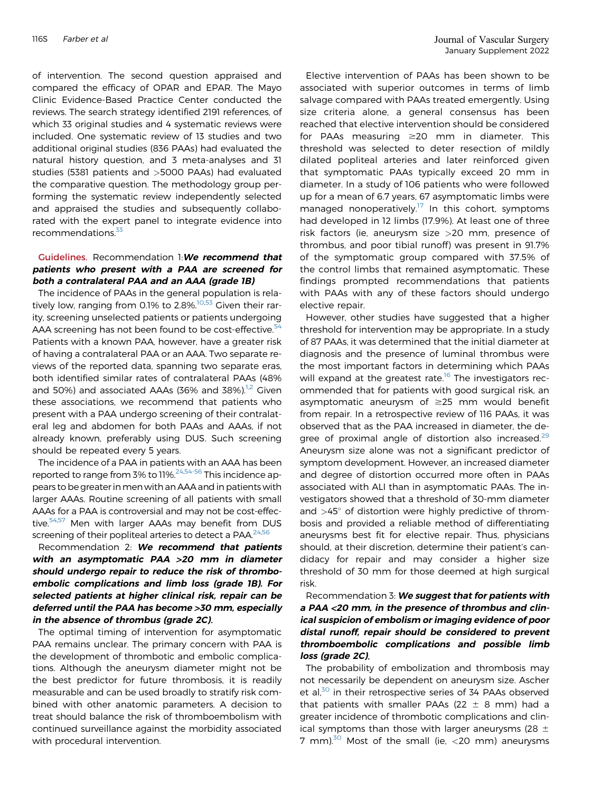of intervention. The second question appraised and compared the efficacy of OPAR and EPAR. The Mayo Clinic Evidence-Based Practice Center conducted the reviews. The search strategy identified 2191 references, of which 33 original studies and 4 systematic reviews were included. One systematic review of 13 studies and two additional original studies (836 PAAs) had evaluated the natural history question, and 3 meta-analyses and 31 studies (5381 patients and >5000 PAAs) had evaluated the comparative question. The methodology group performing the systematic review independently selected and appraised the studies and subsequently collaborated with the expert panel to integrate evidence into recommendations.<sup>[33](#page-11-1)</sup>

### Guidelines. Recommendation 1:We recommend that patients who present with <sup>a</sup> PAA are screened for both <sup>a</sup> contralateral PAA and an AAA (grade 1B)

The incidence of PAAs in the general population is rela-tively low, ranging from 0.1% to 2.8%.<sup>[10,](#page-10-24)[53](#page-11-21)</sup> Given their rarity, screening unselected patients or patients undergoing AAA screening has not been found to be cost-effective.<sup>[54](#page-11-22)</sup> Patients with a known PAA, however, have a greater risk of having a contralateral PAA or an AAA. Two separate reviews of the reported data, spanning two separate eras, both identified similar rates of contralateral PAAs (48% and 50%) and associated AAAs (36% and 38%).<sup>[1](#page-10-0),[2](#page-10-1)</sup> Given these associations, we recommend that patients who present with a PAA undergo screening of their contralateral leg and abdomen for both PAAs and AAAs, if not already known, preferably using DUS. Such screening should be repeated every 5 years.

The incidence of a PAA in patients with an AAA has been reported to range from 3% to 11%.<sup>[24](#page-10-15)[,54-56](#page-11-22)</sup> This incidence appears to be greater inmen with an AAA and in patients with larger AAAs. Routine screening of all patients with small AAAs for a PAA is controversial and may not be cost-effec-tive.<sup>[54](#page-11-22)[,57](#page-11-23)</sup> Men with larger AAAs may benefit from DUS screening of their popliteal arteries to detect a PAA.<sup>24,[56](#page-11-24)</sup>

## Recommendation 2: We recommend that patients with an asymptomatic PAA <sup>&</sup>gt;20 mm in diameter should undergo repair to reduce the risk of thromboembolic complications and limb loss (grade 1B). For selected patients at higher clinical risk, repair can be deferred until the PAA has become <sup>&</sup>gt;30 mm, especially in the absence of thrombus (grade 2C).

The optimal timing of intervention for asymptomatic PAA remains unclear. The primary concern with PAA is the development of thrombotic and embolic complications. Although the aneurysm diameter might not be the best predictor for future thrombosis, it is readily measurable and can be used broadly to stratify risk combined with other anatomic parameters. A decision to treat should balance the risk of thromboembolism with continued surveillance against the morbidity associated with procedural intervention.

Elective intervention of PAAs has been shown to be associated with superior outcomes in terms of limb salvage compared with PAAs treated emergently. Using size criteria alone, a general consensus has been reached that elective intervention should be considered for PAAs measuring  $\geq 20$  mm in diameter. This threshold was selected to deter resection of mildly dilated popliteal arteries and later reinforced given that symptomatic PAAs typically exceed 20 mm in diameter. In a study of 106 patients who were followed up for a mean of 6.7 years, 67 asymptomatic limbs were managed nonoperatively.<sup>[17](#page-10-10)</sup> In this cohort, symptoms had developed in 12 limbs (17.9%). At least one of three risk factors (ie, aneurysm size >20 mm, presence of thrombus, and poor tibial runoff) was present in 91.7% of the symptomatic group compared with 37.5% of the control limbs that remained asymptomatic. These findings prompted recommendations that patients with PAAs with any of these factors should undergo elective repair.

However, other studies have suggested that a higher threshold for intervention may be appropriate. In a study of 87 PAAs, it was determined that the initial diameter at diagnosis and the presence of luminal thrombus were the most important factors in determining which PAAs will expand at the greatest rate.<sup>[16](#page-10-9)</sup> The investigators recommended that for patients with good surgical risk, an asymptomatic aneurysm of  $\geq$ 25 mm would benefit from repair. In a retrospective review of 116 PAAs, it was observed that as the PAA increased in diameter, the de-gree of proximal angle of distortion also increased.<sup>[29](#page-10-17)</sup> Aneurysm size alone was not a significant predictor of symptom development. However, an increased diameter and degree of distortion occurred more often in PAAs associated with ALI than in asymptomatic PAAs. The investigators showed that a threshold of 30-mm diameter and  $>45^\circ$  of distortion were highly predictive of thrombosis and provided a reliable method of differentiating aneurysms best fit for elective repair. Thus, physicians should, at their discretion, determine their patient's candidacy for repair and may consider a higher size threshold of 30 mm for those deemed at high surgical risk.

#### Recommendation 3: We suggest that for patients with <sup>a</sup> PAA <sup>&</sup>lt;20 mm, in the presence of thrombus and clinical suspicion of embolism or imaging evidence of poor distal runoff, repair should be considered to prevent thromboembolic complications and possible limb loss (grade 2C).

The probability of embolization and thrombosis may not necessarily be dependent on aneurysm size. Ascher et al, $30$  in their retrospective series of 34 PAAs observed that patients with smaller PAAs (22  $\pm$  8 mm) had a greater incidence of thrombotic complications and clinical symptoms than those with larger aneurysms (28  $\pm$ 7 mm). $30$  Most of the small (ie, <20 mm) aneurysms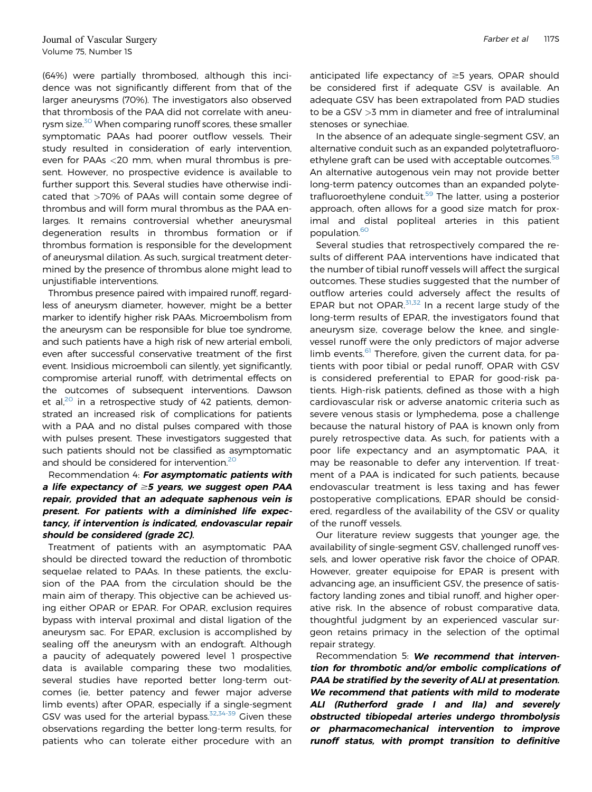(64%) were partially thrombosed, although this incidence was not significantly different from that of the larger aneurysms (70%). The investigators also observed that thrombosis of the PAA did not correlate with aneu-rysm size.<sup>[30](#page-10-18)</sup> When comparing runoff scores, these smaller symptomatic PAAs had poorer outflow vessels. Their study resulted in consideration of early intervention, even for PAAs <20 mm, when mural thrombus is present. However, no prospective evidence is available to further support this. Several studies have otherwise indicated that >70% of PAAs will contain some degree of thrombus and will form mural thrombus as the PAA enlarges. It remains controversial whether aneurysmal degeneration results in thrombus formation or if thrombus formation is responsible for the development of aneurysmal dilation. As such, surgical treatment determined by the presence of thrombus alone might lead to unjustifiable interventions.

Thrombus presence paired with impaired runoff, regardless of aneurysm diameter, however, might be a better marker to identify higher risk PAAs. Microembolism from the aneurysm can be responsible for blue toe syndrome, and such patients have a high risk of new arterial emboli, even after successful conservative treatment of the first event. Insidious microemboli can silently, yet significantly, compromise arterial runoff, with detrimental effects on the outcomes of subsequent interventions. Dawson et al, $^{20}$  $^{20}$  $^{20}$  in a retrospective study of 42 patients, demonstrated an increased risk of complications for patients with a PAA and no distal pulses compared with those with pulses present. These investigators suggested that such patients should not be classified as asymptomatic and should be considered for intervention.<sup>20</sup>

# Recommendation 4: For asymptomatic patients with a life expectancy of  $\geq$ 5 years, we suggest open PAA repair, provided that an adequate saphenous vein is present. For patients with <sup>a</sup> diminished life expectancy, if intervention is indicated, endovascular repair should be considered (grade 2C).

Treatment of patients with an asymptomatic PAA should be directed toward the reduction of thrombotic sequelae related to PAAs. In these patients, the exclusion of the PAA from the circulation should be the main aim of therapy. This objective can be achieved using either OPAR or EPAR. For OPAR, exclusion requires bypass with interval proximal and distal ligation of the aneurysm sac. For EPAR, exclusion is accomplished by sealing off the aneurysm with an endograft. Although a paucity of adequately powered level 1 prospective data is available comparing these two modalities, several studies have reported better long-term outcomes (ie, better patency and fewer major adverse limb events) after OPAR, especially if a single-segment GSV was used for the arterial bypass. $32,34-39$  $32,34-39$  $32,34-39$  Given these observations regarding the better long-term results, for patients who can tolerate either procedure with an

anticipated life expectancy of  $\geq$ 5 years, OPAR should be considered first if adequate GSV is available. An adequate GSV has been extrapolated from PAD studies to be a GSV >3 mm in diameter and free of intraluminal stenoses or synechiae.

In the absence of an adequate single-segment GSV, an alternative conduit such as an expanded polytetrafluoro-ethylene graft can be used with acceptable outcomes.<sup>[58](#page-11-25)</sup> An alternative autogenous vein may not provide better long-term patency outcomes than an expanded polyte-trafluoroethylene conduit.<sup>[59](#page-11-26)</sup> The latter, using a posterior approach, often allows for a good size match for proximal and distal popliteal arteries in this patient population.[60](#page-11-27)

Several studies that retrospectively compared the results of different PAA interventions have indicated that the number of tibial runoff vessels will affect the surgical outcomes. These studies suggested that the number of outflow arteries could adversely affect the results of EPAR but not OPAR. $31,32$  $31,32$  In a recent large study of the long-term results of EPAR, the investigators found that aneurysm size, coverage below the knee, and singlevessel runoff were the only predictors of major adverse limb events.<sup>[61](#page-11-28)</sup> Therefore, given the current data, for patients with poor tibial or pedal runoff, OPAR with GSV is considered preferential to EPAR for good-risk patients. High-risk patients, defined as those with a high cardiovascular risk or adverse anatomic criteria such as severe venous stasis or lymphedema, pose a challenge because the natural history of PAA is known only from purely retrospective data. As such, for patients with a poor life expectancy and an asymptomatic PAA, it may be reasonable to defer any intervention. If treatment of a PAA is indicated for such patients, because endovascular treatment is less taxing and has fewer postoperative complications, EPAR should be considered, regardless of the availability of the GSV or quality of the runoff vessels.

Our literature review suggests that younger age, the availability of single-segment GSV, challenged runoff vessels, and lower operative risk favor the choice of OPAR. However, greater equipoise for EPAR is present with advancing age, an insufficient GSV, the presence of satisfactory landing zones and tibial runoff, and higher operative risk. In the absence of robust comparative data, thoughtful judgment by an experienced vascular surgeon retains primacy in the selection of the optimal repair strategy.

Recommendation 5: We recommend that intervention for thrombotic and/or embolic complications of PAA be stratified by the severity of ALI at presentation. We recommend that patients with mild to moderate ALI (Rutherford grade I and IIa) and severely obstructed tibiopedal arteries undergo thrombolysis or pharmacomechanical intervention to improve runoff status, with prompt transition to definitive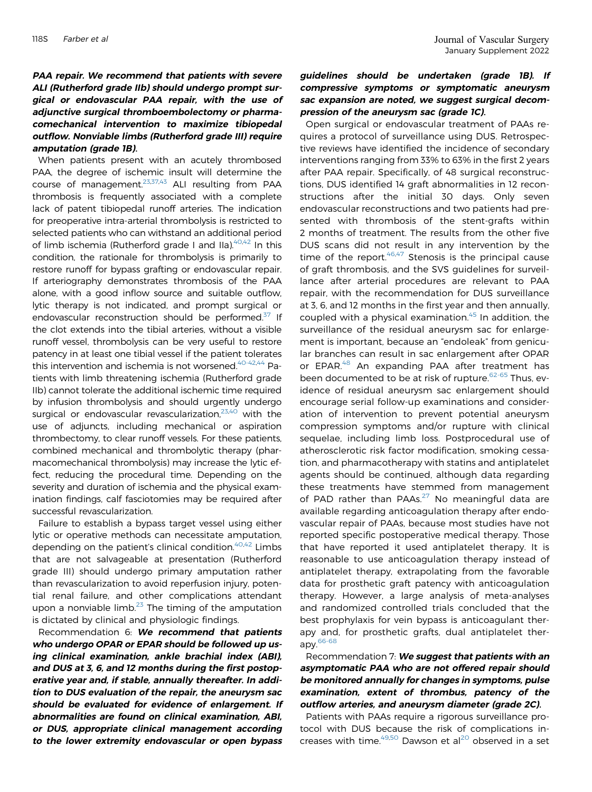# PAA repair. We recommend that patients with severe ALI (Rutherford grade IIb) should undergo prompt surgical or endovascular PAA repair, with the use of adjunctive surgical thromboembolectomy or pharmacomechanical intervention to maximize tibiopedal outflow. Nonviable limbs (Rutherford grade III) require amputation (grade 1B).

When patients present with an acutely thrombosed PAA, the degree of ischemic insult will determine the course of management[.23](#page-10-14),[37,](#page-11-5)[43](#page-11-11) ALI resulting from PAA thrombosis is frequently associated with a complete lack of patent tibiopedal runoff arteries. The indication for preoperative intra-arterial thrombolysis is restricted to selected patients who can withstand an additional period of limb ischemia (Rutherford grade I and IIa). $40,42$  $40,42$  In this condition, the rationale for thrombolysis is primarily to restore runoff for bypass grafting or endovascular repair. If arteriography demonstrates thrombosis of the PAA alone, with a good inflow source and suitable outflow, lytic therapy is not indicated, and prompt surgical or endovascular reconstruction should be performed. $37$  If the clot extends into the tibial arteries, without a visible runoff vessel, thrombolysis can be very useful to restore patency in at least one tibial vessel if the patient tolerates this intervention and ischemia is not worsened.<sup>[40-42](#page-11-8)[,44](#page-11-12)</sup> Patients with limb threatening ischemia (Rutherford grade IIb) cannot tolerate the additional ischemic time required by infusion thrombolysis and should urgently undergo surgical or endovascular revascularization, $23,40$  $23,40$  with the use of adjuncts, including mechanical or aspiration thrombectomy, to clear runoff vessels. For these patients, combined mechanical and thrombolytic therapy (pharmacomechanical thrombolysis) may increase the lytic effect, reducing the procedural time. Depending on the severity and duration of ischemia and the physical examination findings, calf fasciotomies may be required after successful revascularization.

Failure to establish a bypass target vessel using either lytic or operative methods can necessitate amputation, depending on the patient's clinical condition.<sup>[40](#page-11-8),[42](#page-11-10)</sup> Limbs that are not salvageable at presentation (Rutherford grade III) should undergo primary amputation rather than revascularization to avoid reperfusion injury, potential renal failure, and other complications attendant upon a nonviable limb. $23$  The timing of the amputation is dictated by clinical and physiologic findings.

Recommendation 6: We recommend that patients who undergo OPAR or EPAR should be followed up using clinical examination, ankle brachial index (ABI), and DUS at 3, 6, and 12 months during the first postoperative year and, if stable, annually thereafter. In addition to DUS evaluation of the repair, the aneurysm sac should be evaluated for evidence of enlargement. If abnormalities are found on clinical examination, ABI, or DUS, appropriate clinical management according to the lower extremity endovascular or open bypass

## guidelines should be undertaken (grade 1B). If compressive symptoms or symptomatic aneurysm sac expansion are noted, we suggest surgical decompression of the aneurysm sac (grade 1C).

Open surgical or endovascular treatment of PAAs requires a protocol of surveillance using DUS. Retrospective reviews have identified the incidence of secondary interventions ranging from 33% to 63% in the first 2 years after PAA repair. Specifically, of 48 surgical reconstructions, DUS identified 14 graft abnormalities in 12 reconstructions after the initial 30 days. Only seven endovascular reconstructions and two patients had presented with thrombosis of the stent-grafts within 2 months of treatment. The results from the other five DUS scans did not result in any intervention by the time of the report. $46,47$  $46,47$  $46,47$  Stenosis is the principal cause of graft thrombosis, and the SVS guidelines for surveillance after arterial procedures are relevant to PAA repair, with the recommendation for DUS surveillance at 3, 6, and 12 months in the first year and then annually, coupled with a physical examination.<sup>[45](#page-11-13)</sup> In addition, the surveillance of the residual aneurysm sac for enlargement is important, because an "endoleak" from genicular branches can result in sac enlargement after OPAR or EPAR.<sup>[48](#page-11-16)</sup> An expanding PAA after treatment has been documented to be at risk of rupture.<sup>[62-65](#page-11-29)</sup> Thus, evidence of residual aneurysm sac enlargement should encourage serial follow-up examinations and consideration of intervention to prevent potential aneurysm compression symptoms and/or rupture with clinical sequelae, including limb loss. Postprocedural use of atherosclerotic risk factor modification, smoking cessation, and pharmacotherapy with statins and antiplatelet agents should be continued, although data regarding these treatments have stemmed from management of PAD rather than PAAs. $27$  No meaningful data are available regarding anticoagulation therapy after endovascular repair of PAAs, because most studies have not reported specific postoperative medical therapy. Those that have reported it used antiplatelet therapy. It is reasonable to use anticoagulation therapy instead of antiplatelet therapy, extrapolating from the favorable data for prosthetic graft patency with anticoagulation therapy. However, a large analysis of meta-analyses and randomized controlled trials concluded that the best prophylaxis for vein bypass is anticoagulant therapy and, for prosthetic grafts, dual antiplatelet therapy.[66-68](#page-11-30)

## Recommendation 7: We suggest that patients with an asymptomatic PAA who are not offered repair should be monitored annually for changes in symptoms, pulse examination, extent of thrombus, patency of the outflow arteries, and aneurysm diameter (grade 2C).

Patients with PAAs require a rigorous surveillance protocol with DUS because the risk of complications increases with time. $49,50$  $49,50$  $49,50$  Dawson et al<sup>20</sup> observed in a set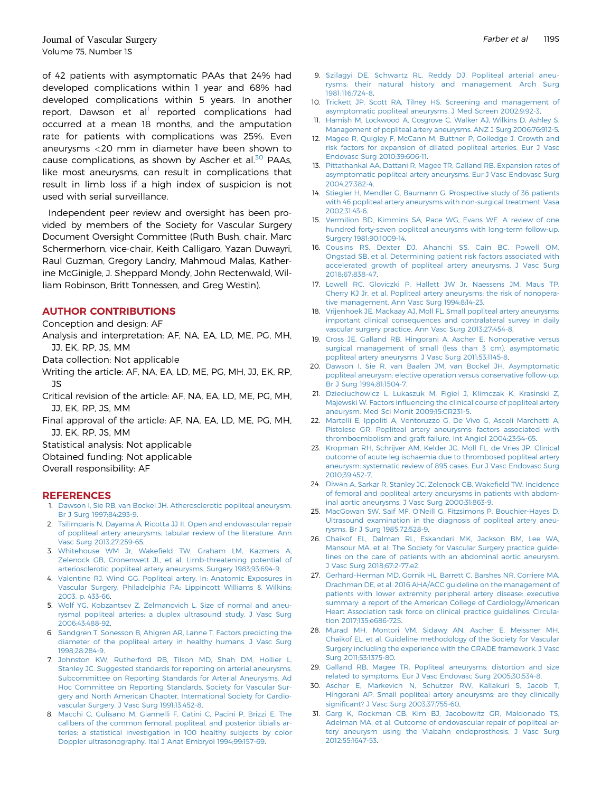Journal of Vascular Surgery Farber et al and the US of Vascular Surgery Farber et al and the US of Vascular Surgery Volume 75, Number 1S

of 42 patients with asymptomatic PAAs that 24% had developed complications within 1 year and 68% had developed complications within 5 years. In another report, Dawson et al<sup>1</sup> reported complications had occurred at a mean 18 months, and the amputation rate for patients with complications was 25%. Even aneurysms <20 mm in diameter have been shown to cause complications, as shown by Ascher et al.<sup>[30](#page-10-18)</sup> PAAs, like most aneurysms, can result in complications that result in limb loss if a high index of suspicion is not used with serial surveillance.

Independent peer review and oversight has been provided by members of the Society for Vascular Surgery Document Oversight Committee (Ruth Bush, chair, Marc Schermerhorn, vice-chair, Keith Calligaro, Yazan Duwayri, Raul Guzman, Gregory Landry, Mahmoud Malas, Katherine McGinigle, J. Sheppard Mondy, John Rectenwald, William Robinson, Britt Tonnessen, and Greg Westin).

#### AUTHOR CONTRIBUTIONS

Conception and design: AF

Analysis and interpretation: AF, NA, EA, LD, ME, PG, MH, JJ, EK, RP, JS, MM

Data collection: Not applicable

- Writing the article: AF, NA, EA, LD, ME, PG, MH, JJ, EK, RP, JS
- Critical revision of the article: AF, NA, EA, LD, ME, PG, MH, JJ, EK, RP, JS, MM
- Final approval of the article: AF, NA, EA, LD, ME, PG, MH, JJ, EK, RP, JS, MM
- Statistical analysis: Not applicable
- Obtained funding: Not applicable

Overall responsibility: AF

#### <span id="page-10-0"></span>**REFERENCES**

- <span id="page-10-1"></span>1. [Dawson I, Sie RB, van Bockel JH. Atherosclerotic popliteal aneurysm.](http://refhub.elsevier.com/S0741-5214(21)00680-7/sref1) [Br J Surg 1997;84:293-9](http://refhub.elsevier.com/S0741-5214(21)00680-7/sref1).
- 2. [Tsilimparis N, Dayama A, Ricotta JJ II. Open and endovascular repair](http://refhub.elsevier.com/S0741-5214(21)00680-7/sref2) [of popliteal artery aneurysms: tabular review of the literature. Ann](http://refhub.elsevier.com/S0741-5214(21)00680-7/sref2) [Vasc Surg 2013;27:259-65.](http://refhub.elsevier.com/S0741-5214(21)00680-7/sref2)
- <span id="page-10-2"></span>3. Whitehouse WM Jr, Wakefi[eld TW, Graham LM, Kazmers A,](http://refhub.elsevier.com/S0741-5214(21)00680-7/sref3) [Zelenock GB, Cronenwett JL, et al. Limb-threatening potential of](http://refhub.elsevier.com/S0741-5214(21)00680-7/sref3) [arteriosclerotic popliteal artery aneurysms. Surgery 1983;93:694-9](http://refhub.elsevier.com/S0741-5214(21)00680-7/sref3).
- <span id="page-10-3"></span>4. [Valentine RJ, Wind GG. Popliteal artery. In: Anatomic Exposures in](http://refhub.elsevier.com/S0741-5214(21)00680-7/sref4) [Vascular Surgery. Philadelphia PA: Lippincott Williams & Wilkins;](http://refhub.elsevier.com/S0741-5214(21)00680-7/sref4) [2003. p. 433-66.](http://refhub.elsevier.com/S0741-5214(21)00680-7/sref4)
- <span id="page-10-4"></span>5. [Wolf YG, Kobzantsev Z, Zelmanovich L. Size of normal and aneu](http://refhub.elsevier.com/S0741-5214(21)00680-7/sref5)[rysmal popliteal arteries: a duplex ultrasound study. J Vasc Surg](http://refhub.elsevier.com/S0741-5214(21)00680-7/sref5) [2006;43:488-92.](http://refhub.elsevier.com/S0741-5214(21)00680-7/sref5)
- 6. [Sandgren T, Sonesson B, Ahlgren AR, Lanne T. Factors predicting the](http://refhub.elsevier.com/S0741-5214(21)00680-7/sref6) [diameter of the popliteal artery in healthy humans. J Vasc Surg](http://refhub.elsevier.com/S0741-5214(21)00680-7/sref6) [1998;28:284-9.](http://refhub.elsevier.com/S0741-5214(21)00680-7/sref6)
- 7. [Johnston KW, Rutherford RB, Tilson MD, Shah DM, Hollier L,](http://refhub.elsevier.com/S0741-5214(21)00680-7/sref7) [Stanley JC. Suggested standards for reporting on arterial aneurysms.](http://refhub.elsevier.com/S0741-5214(21)00680-7/sref7) [Subcommittee on Reporting Standards for Arterial Aneurysms, Ad](http://refhub.elsevier.com/S0741-5214(21)00680-7/sref7) [Hoc Committee on Reporting Standards, Society for Vascular Sur](http://refhub.elsevier.com/S0741-5214(21)00680-7/sref7)[gery and North American Chapter, International Society for Cardio](http://refhub.elsevier.com/S0741-5214(21)00680-7/sref7)[vascular Surgery. J Vasc Surg 1991;13:452-8](http://refhub.elsevier.com/S0741-5214(21)00680-7/sref7).
- 8. [Macchi C, Gulisano M, Giannelli F, Catini C, Pacini P, Brizzi E. The](http://refhub.elsevier.com/S0741-5214(21)00680-7/sref8) [calibers of the common femoral, popliteal, and posterior tibialis ar](http://refhub.elsevier.com/S0741-5214(21)00680-7/sref8)[teries: a statistical investigation in 100 healthy subjects by color](http://refhub.elsevier.com/S0741-5214(21)00680-7/sref8) [Doppler ultrasonography. Ital J Anat Embryol 1994;99:157-69.](http://refhub.elsevier.com/S0741-5214(21)00680-7/sref8)
- <span id="page-10-5"></span>9. [Szilagyi DE, Schwartz RL, Reddy DJ. Popliteal arterial aneu](http://refhub.elsevier.com/S0741-5214(21)00680-7/sref9)[rysms: their natural history and management. Arch Surg](http://refhub.elsevier.com/S0741-5214(21)00680-7/sref9) [1981;116:724-8.](http://refhub.elsevier.com/S0741-5214(21)00680-7/sref9)
- <span id="page-10-24"></span>10. [Trickett JP, Scott RA, Tilney HS. Screening and management of](http://refhub.elsevier.com/S0741-5214(21)00680-7/sref10) [asymptomatic popliteal aneurysms. J Med Screen 2002;9:92-3](http://refhub.elsevier.com/S0741-5214(21)00680-7/sref10).
- 11. [Hamish M, Lockwood A, Cosgrove C, Walker AJ, Wilkins D, Ashley S.](http://refhub.elsevier.com/S0741-5214(21)00680-7/sref11) [Management of popliteal artery aneurysms. ANZ J Surg 2006;76:912-5.](http://refhub.elsevier.com/S0741-5214(21)00680-7/sref11)
- <span id="page-10-6"></span>12. [Magee R, Quigley F, McCann M, Buttner P, Golledge J. Growth and](http://refhub.elsevier.com/S0741-5214(21)00680-7/sref12) [risk factors for expansion of dilated popliteal arteries. Eur J Vasc](http://refhub.elsevier.com/S0741-5214(21)00680-7/sref12) [Endovasc Surg 2010;39:606-11.](http://refhub.elsevier.com/S0741-5214(21)00680-7/sref12)
- <span id="page-10-7"></span>13. [Pittathankal AA, Dattani R, Magee TR, Galland RB. Expansion rates of](http://refhub.elsevier.com/S0741-5214(21)00680-7/sref13) [asymptomatic popliteal artery aneurysms. Eur J Vasc Endovasc Surg](http://refhub.elsevier.com/S0741-5214(21)00680-7/sref13) [2004;27:382-4](http://refhub.elsevier.com/S0741-5214(21)00680-7/sref13).
- 14. [Stiegler H, Mendler G, Baumann G. Prospective study of 36 patients](http://refhub.elsevier.com/S0741-5214(21)00680-7/sref14) [with 46 popliteal artery aneurysms with non-surgical treatment. Vasa](http://refhub.elsevier.com/S0741-5214(21)00680-7/sref14) [2002;31:43-6.](http://refhub.elsevier.com/S0741-5214(21)00680-7/sref14)
- <span id="page-10-8"></span>15. [Vermilion BD, Kimmins SA, Pace WG, Evans WE. A review of one](http://refhub.elsevier.com/S0741-5214(21)00680-7/sref15) [hundred forty-seven popliteal aneurysms with long-term follow-up.](http://refhub.elsevier.com/S0741-5214(21)00680-7/sref15) [Surgery 1981;90:1009-14](http://refhub.elsevier.com/S0741-5214(21)00680-7/sref15).
- <span id="page-10-9"></span>16. [Cousins RS, Dexter DJ, Ahanchi SS, Cain BC, Powell OM,](http://refhub.elsevier.com/S0741-5214(21)00680-7/sref16) [Ongstad SB, et al. Determining patient risk factors associated with](http://refhub.elsevier.com/S0741-5214(21)00680-7/sref16) [accelerated growth of popliteal artery aneurysms. J Vasc Surg](http://refhub.elsevier.com/S0741-5214(21)00680-7/sref16) [2018;67:838-47](http://refhub.elsevier.com/S0741-5214(21)00680-7/sref16).
- <span id="page-10-10"></span>17. [Lowell RC, Gloviczki P, Hallett JW Jr, Naessens JM, Maus TP,](http://refhub.elsevier.com/S0741-5214(21)00680-7/sref17) [Cherry KJ Jr, et al. Popliteal artery aneurysms: the risk of nonopera](http://refhub.elsevier.com/S0741-5214(21)00680-7/sref17)[tive management. Ann Vasc Surg 1994;8:14-23.](http://refhub.elsevier.com/S0741-5214(21)00680-7/sref17)
- <span id="page-10-11"></span>18. [Vrijenhoek JE, Mackaay AJ, Moll FL. Small popliteal artery aneurysms:](http://refhub.elsevier.com/S0741-5214(21)00680-7/sref18) [important clinical consequences and contralateral survey in daily](http://refhub.elsevier.com/S0741-5214(21)00680-7/sref18) [vascular surgery practice. Ann Vasc Surg 2013;27:454-8](http://refhub.elsevier.com/S0741-5214(21)00680-7/sref18).
- 19. [Cross JE, Galland RB, Hingorani A, Ascher E. Nonoperative versus](http://refhub.elsevier.com/S0741-5214(21)00680-7/sref19) [surgical management of small \(less than 3 cm\), asymptomatic](http://refhub.elsevier.com/S0741-5214(21)00680-7/sref19) [popliteal artery aneurysms. J Vasc Surg 2011;53:1145-8.](http://refhub.elsevier.com/S0741-5214(21)00680-7/sref19)
- <span id="page-10-19"></span>20. [Dawson I, Sie R, van Baalen JM, van Bockel JH. Asymptomatic](http://refhub.elsevier.com/S0741-5214(21)00680-7/sref20) [popliteal aneurysm: elective operation versus conservative follow-up.](http://refhub.elsevier.com/S0741-5214(21)00680-7/sref20) [Br J Surg 1994;81:1504-7](http://refhub.elsevier.com/S0741-5214(21)00680-7/sref20).
- <span id="page-10-12"></span>21. [Dzieciuchowicz L, Lukaszuk M, Figiel J, Klimczak K, Krasinski Z,](http://refhub.elsevier.com/S0741-5214(21)00680-7/sref21) Majewski W. Factors infl[uencing the clinical course of popliteal artery](http://refhub.elsevier.com/S0741-5214(21)00680-7/sref21) [aneurysm. Med Sci Monit 2009;15:CR231-5](http://refhub.elsevier.com/S0741-5214(21)00680-7/sref21).
- <span id="page-10-13"></span>22. [Martelli E, Ippoliti A, Ventoruzzo G, De Vivo G, Ascoli Marchetti A,](http://refhub.elsevier.com/S0741-5214(21)00680-7/sref22) [Pistolese GR. Popliteal artery aneurysms: factors associated with](http://refhub.elsevier.com/S0741-5214(21)00680-7/sref22) [thromboembolism and graft failure. Int Angiol 2004;23:54-65.](http://refhub.elsevier.com/S0741-5214(21)00680-7/sref22)
- <span id="page-10-14"></span>23. [Kropman RH, Schrijver AM, Kelder JC, Moll FL, de Vries JP. Clinical](http://refhub.elsevier.com/S0741-5214(21)00680-7/sref23) [outcome of acute leg ischaemia due to thrombosed popliteal artery](http://refhub.elsevier.com/S0741-5214(21)00680-7/sref23) [aneurysm: systematic review of 895 cases. Eur J Vasc Endovasc Surg](http://refhub.elsevier.com/S0741-5214(21)00680-7/sref23) [2010;39:452-7.](http://refhub.elsevier.com/S0741-5214(21)00680-7/sref23)
- <span id="page-10-15"></span>24. [Diwan A, Sarkar R, Stanley JC, Zelenock GB, Wake](http://refhub.elsevier.com/S0741-5214(21)00680-7/sref24)field TW. Incidence [of femoral and popliteal artery aneurysms in patients with abdom](http://refhub.elsevier.com/S0741-5214(21)00680-7/sref24)[inal aortic aneurysms. J Vasc Surg 2000;31:863-9.](http://refhub.elsevier.com/S0741-5214(21)00680-7/sref24)
- <span id="page-10-16"></span>25. MacGowan SW, Saif MF, O'[Neill G, Fitzsimons P, Bouchier-Hayes D.](http://refhub.elsevier.com/S0741-5214(21)00680-7/sref25) [Ultrasound examination in the diagnosis of popliteal artery aneu](http://refhub.elsevier.com/S0741-5214(21)00680-7/sref25)[rysms. Br J Surg 1985;72:528-9](http://refhub.elsevier.com/S0741-5214(21)00680-7/sref25).
- <span id="page-10-21"></span>26. [Chaikof EL, Dalman RL, Eskandari MK, Jackson BM, Lee WA,](http://refhub.elsevier.com/S0741-5214(21)00680-7/sref26) [Mansour MA, et al. The Society for Vascular Surgery practice guide](http://refhub.elsevier.com/S0741-5214(21)00680-7/sref26)[lines on the care of patients with an abdominal aortic aneurysm.](http://refhub.elsevier.com/S0741-5214(21)00680-7/sref26) [J Vasc Surg 2018;67:2-77.e2.](http://refhub.elsevier.com/S0741-5214(21)00680-7/sref26)
- <span id="page-10-22"></span>27. [Gerhard-Herman MD, Gornik HL, Barrett C, Barshes NR, Corriere MA,](http://refhub.elsevier.com/S0741-5214(21)00680-7/sref27) [Drachman DE, et al. 2016 AHA/ACC guideline on the management of](http://refhub.elsevier.com/S0741-5214(21)00680-7/sref27) [patients with lower extremity peripheral artery disease: executive](http://refhub.elsevier.com/S0741-5214(21)00680-7/sref27) [summary: a report of the American College of Cardiology/American](http://refhub.elsevier.com/S0741-5214(21)00680-7/sref27) [Heart Association task force on clinical practice guidelines. Circula](http://refhub.elsevier.com/S0741-5214(21)00680-7/sref27)[tion 2017;135:e686-725.](http://refhub.elsevier.com/S0741-5214(21)00680-7/sref27)
- <span id="page-10-23"></span>28. [Murad MH, Montori VM, Sidawy AN, Ascher E, Meissner MH,](http://refhub.elsevier.com/S0741-5214(21)00680-7/sref28) [Chaikof EL, et al. Guideline methodology of the Society for Vascular](http://refhub.elsevier.com/S0741-5214(21)00680-7/sref28) [Surgery including the experience with the GRADE framework. J Vasc](http://refhub.elsevier.com/S0741-5214(21)00680-7/sref28) [Surg 2011;53:1375-80.](http://refhub.elsevier.com/S0741-5214(21)00680-7/sref28)
- <span id="page-10-17"></span>29. [Galland RB, Magee TR. Popliteal aneurysms: distortion and size](http://refhub.elsevier.com/S0741-5214(21)00680-7/sref29) [related to symptoms. Eur J Vasc Endovasc Surg 2005;30:534-8](http://refhub.elsevier.com/S0741-5214(21)00680-7/sref29).
- <span id="page-10-18"></span>30. [Ascher E, Markevich N, Schutzer RW, Kallakuri S, Jacob T,](http://refhub.elsevier.com/S0741-5214(21)00680-7/sref30) [Hingorani AP. Small popliteal artery aneurysms: are they clinically](http://refhub.elsevier.com/S0741-5214(21)00680-7/sref30) signifi[cant? J Vasc Surg 2003;37:755-60.](http://refhub.elsevier.com/S0741-5214(21)00680-7/sref30)
- <span id="page-10-20"></span>31. [Garg K, Rockman CB, Kim BJ, Jacobowitz GR, Maldonado TS,](http://refhub.elsevier.com/S0741-5214(21)00680-7/sref31) [Adelman MA, et al. Outcome of endovascular repair of popliteal ar](http://refhub.elsevier.com/S0741-5214(21)00680-7/sref31)[tery aneurysm using the Viabahn endoprosthesis. J Vasc Surg](http://refhub.elsevier.com/S0741-5214(21)00680-7/sref31) [2012;55:1647-53](http://refhub.elsevier.com/S0741-5214(21)00680-7/sref31).